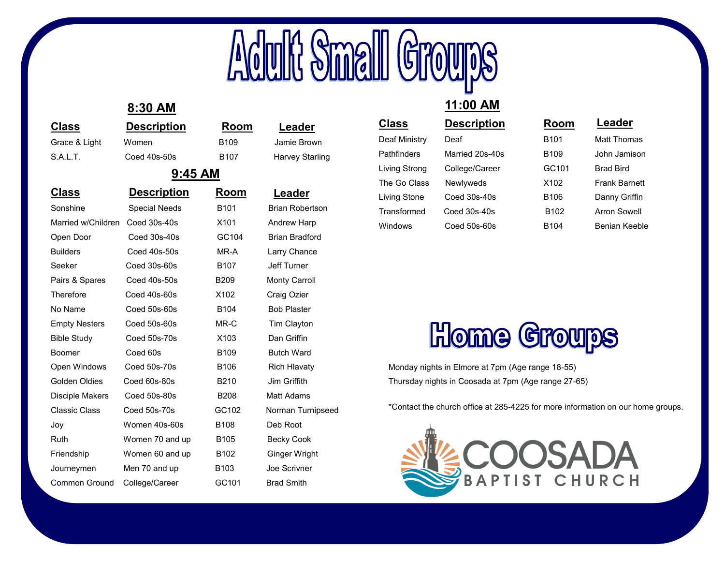

## **8:30 AM**

| <b>Class</b>           | <b>Description</b> | Room             | Leader      |
|------------------------|--------------------|------------------|-------------|
| Grace & Light          | Women              | B <sub>109</sub> | Jamie Brown |
| $\sim$ $\cdot$ $\cdot$ | <b>CONTRACTOR</b>  | ----             | .           |

| $9:45$ AM     |              |                  |                 |
|---------------|--------------|------------------|-----------------|
| S.A.L.T.      | Coed 40s-50s | B <sub>107</sub> | Harvey Starling |
| Grace & Light | Women        | B <sub>109</sub> | Jamie Brown     |

### **Class Description Room** Sonshine Special Needs B101 Brian Robertson Married w/Children Coed 30s-40s X101 Andrew Harp Open Door Coed 30s-40s GC104 Brian Bradford Builders Coed 40s-50s MR-A Larry Chance Seeker Coed 30s-60s B107 Jeff Turner Pairs & Spares Coed 40s-50s B209 Monty Carroll Therefore Coed 40s-60s X102 Craig Ozier No Name Coed 50s-60s B104 Bob Plaster Empty Nesters Coed 50s-60s MR-C Tim Clayton Bible Study Coed 50s-70s X103 Dan Griffin Boomer Coed 60s B109 Butch Ward Open Windows Coed 50s-70s B106 Rich Hlavaty Golden Oldies Coed 60s-80s B210 Jim Griffith Disciple Makers Coed 50s-80s B208 Matt Adams Classic Class Coed 50s-70s GC102 Norman Turnipseed Joy Women 40s-60s B108 Deb Root Ruth Women 70 and up B105 Becky Cook Friendship Women 60 and up B102 Ginger Wright Journeymen Men 70 and up B103 Joe Scrivner Common Ground College/Career GC101 Brad Smith

| Leader      |  |  |
|-------------|--|--|
| Jamie Brown |  |  |
|             |  |  |

# **Leader**

### **11:00 AM Class Description Room** Deaf Ministry Deaf **B101** Matt Thomas Pathfinders Married 20s-40s B109 John Jamison Living Strong College/Career GC101 Brad Bird The Go Class Newlyweds X102 Frank Barnett Living Stone Coed 30s-40s B106 Danny Griffin Transformed Coed 30s-40s B102 Arron Sowell Windows Coed 50s-60s B104 Benian Keeble **Leader**

# **Home Groups**

Monday nights in Elmore at 7pm (Age range 18-55) Thursday nights in Coosada at 7pm (Age range 27-65)

\*Contact the church office at 285-4225 for more information on our home groups.